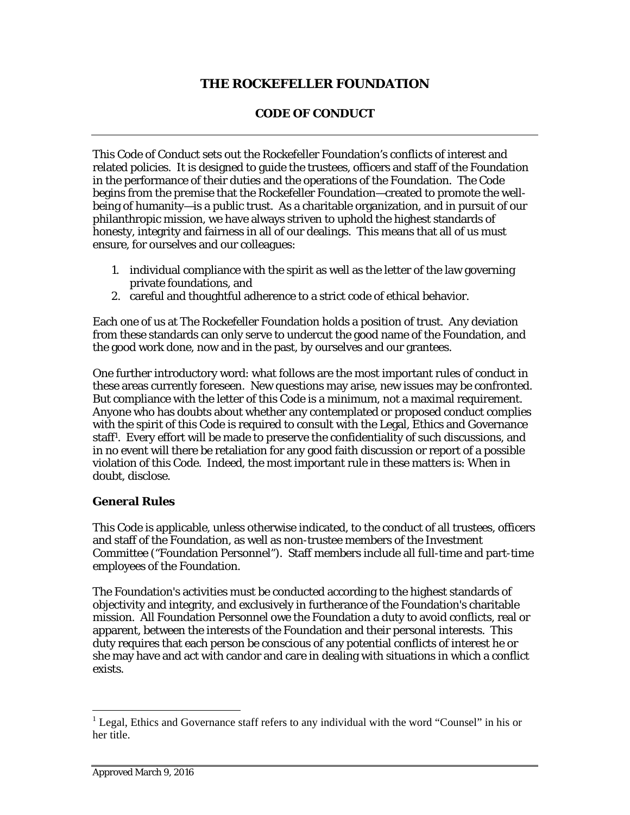## **THE ROCKEFELLER FOUNDATION**

### **CODE OF CONDUCT**

This Code of Conduct sets out the Rockefeller Foundation's conflicts of interest and related policies. It is designed to guide the trustees, officers and staff of the Foundation in the performance of their duties and the operations of the Foundation. The Code begins from the premise that the Rockefeller Foundation—created to promote the wellbeing of humanity—is a public trust. As a charitable organization, and in pursuit of our philanthropic mission, we have always striven to uphold the highest standards of honesty, integrity and fairness in all of our dealings. This means that all of us must ensure, for ourselves and our colleagues:

- 1. individual compliance with the spirit as well as the letter of the law governing private foundations, and
- 2. careful and thoughtful adherence to a strict code of ethical behavior.

Each one of us at The Rockefeller Foundation holds a position of trust. Any deviation from these standards can only serve to undercut the good name of the Foundation, and the good work done, now and in the past, by ourselves and our grantees.

One further introductory word: what follows are the most important rules of conduct in these areas currently foreseen. New questions may arise, new issues may be confronted. But compliance with the letter of this Code is a minimum, not a maximal requirement. Anyone who has doubts about whether any contemplated or proposed conduct complies with the spirit of this Code is required to consult with the Legal, Ethics and Governance staff1 . Every effort will be made to preserve the confidentiality of such discussions, and in no event will there be retaliation for any good faith discussion or report of a possible violation of this Code. Indeed, the most important rule in these matters is: When in doubt, disclose.

#### **General Rules**

This Code is applicable, unless otherwise indicated, to the conduct of all trustees, officers and staff of the Foundation, as well as non-trustee members of the Investment Committee ("Foundation Personnel"). Staff members include all full-time and part-time employees of the Foundation.

The Foundation's activities must be conducted according to the highest standards of objectivity and integrity, and exclusively in furtherance of the Foundation's charitable mission. All Foundation Personnel owe the Foundation a duty to avoid conflicts, real or apparent, between the interests of the Foundation and their personal interests. This duty requires that each person be conscious of any potential conflicts of interest he or she may have and act with candor and care in dealing with situations in which a conflict exists.

<sup>&</sup>lt;sup>1</sup> Legal, Ethics and Governance staff refers to any individual with the word "Counsel" in his or her title.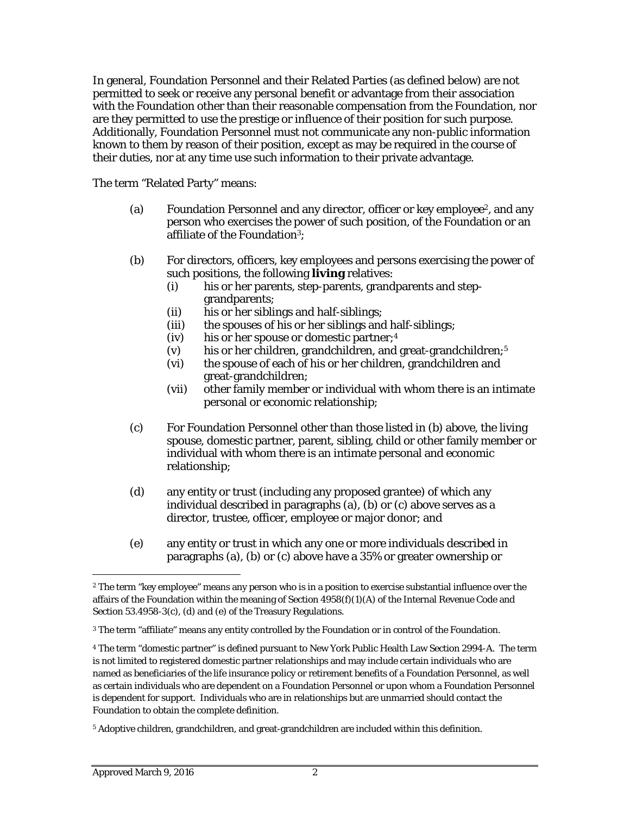In general, Foundation Personnel and their Related Parties (as defined below) are not permitted to seek or receive any personal benefit or advantage from their association with the Foundation other than their reasonable compensation from the Foundation, nor are they permitted to use the prestige or influence of their position for such purpose. Additionally, Foundation Personnel must not communicate any non-public information known to them by reason of their position, except as may be required in the course of their duties, nor at any time use such information to their private advantage.

The term "Related Party" means:

- (a) Foundation Personnel and any director, officer or key employee<sup>2</sup>, and any person who exercises the power of such position, of the Foundation or an affiliate of the Foundation3;
- (b) For directors, officers, key employees and persons exercising the power of such positions, the following **living** relatives:
	- (i) his or her parents, step-parents, grandparents and stepgrandparents;
	- (ii) his or her siblings and half-siblings;
	- (iii) the spouses of his or her siblings and half-siblings;
	- (iv) his or her spouse or domestic partner;4
	- (v) his or her children, grandchildren, and great-grandchildren;5
	- (vi) the spouse of each of his or her children, grandchildren and great-grandchildren;
	- (vii) other family member or individual with whom there is an intimate personal or economic relationship;
- (c) For Foundation Personnel other than those listed in (b) above, the living spouse, domestic partner, parent, sibling, child or other family member or individual with whom there is an intimate personal and economic relationship;
- (d) any entity or trust (including any proposed grantee) of which any individual described in paragraphs (a), (b) or (c) above serves as a director, trustee, officer, employee or major donor; and
- (e) any entity or trust in which any one or more individuals described in paragraphs (a), (b) or (c) above have a 35% or greater ownership or

<sup>&</sup>lt;sup>2</sup> The term "key employee" means any person who is in a position to exercise substantial influence over the affairs of the Foundation within the meaning of Section 4958(f)(1)(A) of the Internal Revenue Code and Section 53.4958-3(c), (d) and (e) of the Treasury Regulations.

<sup>3</sup> The term "affiliate" means any entity controlled by the Foundation or in control of the Foundation.

<sup>4</sup> The term "domestic partner" is defined pursuant to New York Public Health Law Section 2994-A. The term is not limited to registered domestic partner relationships and may include certain individuals who are named as beneficiaries of the life insurance policy or retirement benefits of a Foundation Personnel, as well as certain individuals who are dependent on a Foundation Personnel or upon whom a Foundation Personnel is dependent for support. Individuals who are in relationships but are unmarried should contact the Foundation to obtain the complete definition.

<sup>5</sup> Adoptive children, grandchildren, and great-grandchildren are included within this definition.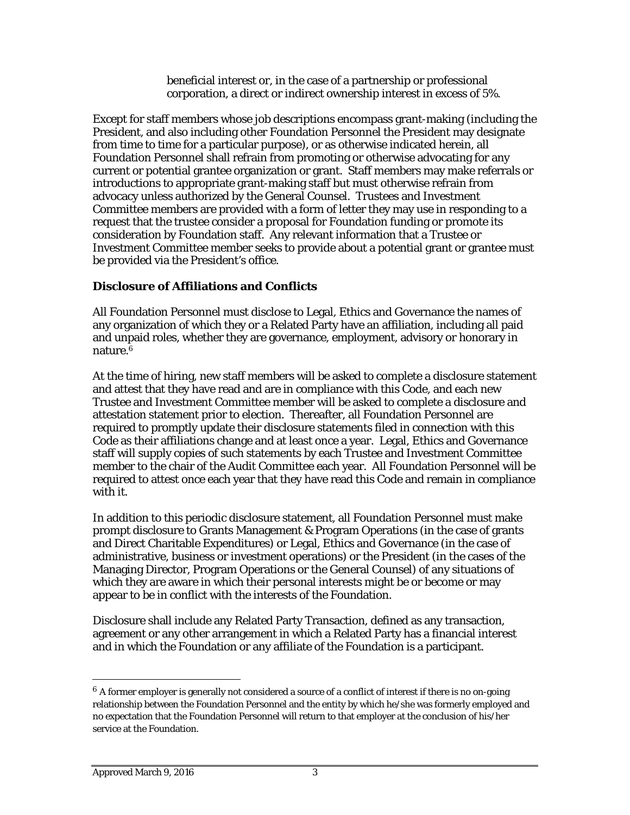beneficial interest or, in the case of a partnership or professional corporation, a direct or indirect ownership interest in excess of 5%.

Except for staff members whose job descriptions encompass grant-making (including the President, and also including other Foundation Personnel the President may designate from time to time for a particular purpose), or as otherwise indicated herein, all Foundation Personnel shall refrain from promoting or otherwise advocating for any current or potential grantee organization or grant. Staff members may make referrals or introductions to appropriate grant-making staff but must otherwise refrain from advocacy unless authorized by the General Counsel. Trustees and Investment Committee members are provided with a form of letter they may use in responding to a request that the trustee consider a proposal for Foundation funding or promote its consideration by Foundation staff. Any relevant information that a Trustee or Investment Committee member seeks to provide about a potential grant or grantee must be provided via the President's office.

### **Disclosure of Affiliations and Conflicts**

All Foundation Personnel must disclose to Legal, Ethics and Governance the names of any organization of which they or a Related Party have an affiliation, including all paid and unpaid roles, whether they are governance, employment, advisory or honorary in nature.6

At the time of hiring, new staff members will be asked to complete a disclosure statement and attest that they have read and are in compliance with this Code, and each new Trustee and Investment Committee member will be asked to complete a disclosure and attestation statement prior to election. Thereafter, all Foundation Personnel are required to promptly update their disclosure statements filed in connection with this Code as their affiliations change and at least once a year. Legal, Ethics and Governance staff will supply copies of such statements by each Trustee and Investment Committee member to the chair of the Audit Committee each year. All Foundation Personnel will be required to attest once each year that they have read this Code and remain in compliance with it.

In addition to this periodic disclosure statement, all Foundation Personnel must make prompt disclosure to Grants Management & Program Operations (in the case of grants and Direct Charitable Expenditures) or Legal, Ethics and Governance (in the case of administrative, business or investment operations) or the President (in the cases of the Managing Director, Program Operations or the General Counsel) of any situations of which they are aware in which their personal interests might be or become or may appear to be in conflict with the interests of the Foundation.

Disclosure shall include any Related Party Transaction, defined as any transaction, agreement or any other arrangement in which a Related Party has a financial interest and in which the Foundation or any affiliate of the Foundation is a participant.

 $6$  A former employer is generally not considered a source of a conflict of interest if there is no on-going relationship between the Foundation Personnel and the entity by which he/she was formerly employed and no expectation that the Foundation Personnel will return to that employer at the conclusion of his/her service at the Foundation.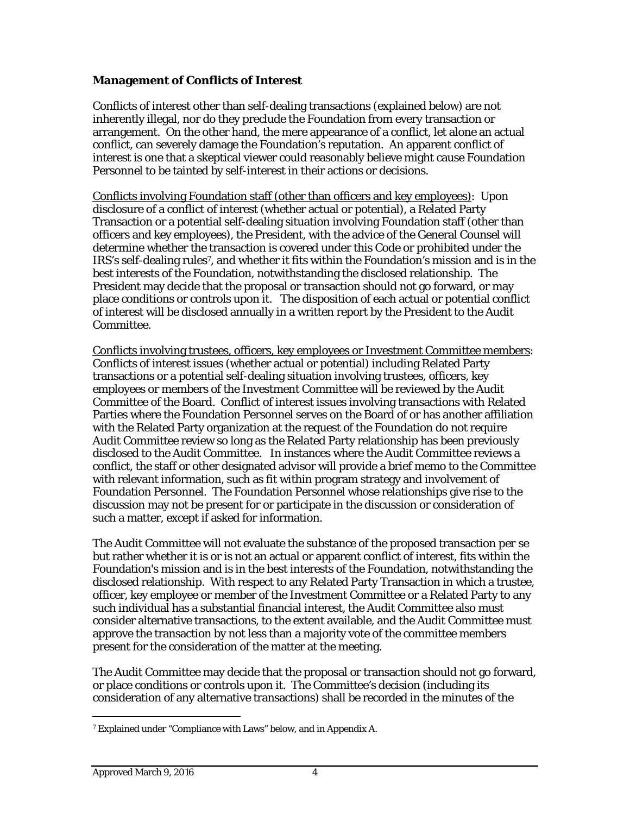### **Management of Conflicts of Interest**

Conflicts of interest other than self-dealing transactions (explained below) are not inherently illegal, nor do they preclude the Foundation from every transaction or arrangement. On the other hand, the mere appearance of a conflict, let alone an actual conflict, can severely damage the Foundation's reputation. An apparent conflict of interest is one that a skeptical viewer could reasonably believe might cause Foundation Personnel to be tainted by self-interest in their actions or decisions.

Conflicts involving Foundation staff (other than officers and key employees): Upon disclosure of a conflict of interest (whether actual or potential), a Related Party Transaction or a potential self-dealing situation involving Foundation staff (other than officers and key employees), the President, with the advice of the General Counsel will determine whether the transaction is covered under this Code or prohibited under the IRS's self-dealing rules7, and whether it fits within the Foundation's mission and is in the best interests of the Foundation, notwithstanding the disclosed relationship. The President may decide that the proposal or transaction should not go forward, or may place conditions or controls upon it. The disposition of each actual or potential conflict of interest will be disclosed annually in a written report by the President to the Audit Committee.

Conflicts involving trustees, officers, key employees or Investment Committee members: Conflicts of interest issues (whether actual or potential) including Related Party transactions or a potential self-dealing situation involving trustees, officers, key employees or members of the Investment Committee will be reviewed by the Audit Committee of the Board. Conflict of interest issues involving transactions with Related Parties where the Foundation Personnel serves on the Board of or has another affiliation with the Related Party organization at the request of the Foundation do not require Audit Committee review so long as the Related Party relationship has been previously disclosed to the Audit Committee. In instances where the Audit Committee reviews a conflict, the staff or other designated advisor will provide a brief memo to the Committee with relevant information, such as fit within program strategy and involvement of Foundation Personnel. The Foundation Personnel whose relationships give rise to the discussion may not be present for or participate in the discussion or consideration of such a matter, except if asked for information.

The Audit Committee will not evaluate the substance of the proposed transaction *per se*  but rather whether it is or is not an actual or apparent conflict of interest, fits within the Foundation's mission and is in the best interests of the Foundation, notwithstanding the disclosed relationship. With respect to any Related Party Transaction in which a trustee, officer, key employee or member of the Investment Committee or a Related Party to any such individual has a substantial financial interest, the Audit Committee also must consider alternative transactions, to the extent available, and the Audit Committee must approve the transaction by not less than a majority vote of the committee members present for the consideration of the matter at the meeting.

The Audit Committee may decide that the proposal or transaction should not go forward, or place conditions or controls upon it. The Committee's decision (including its consideration of any alternative transactions) shall be recorded in the minutes of the

<sup>7</sup> Explained under "Compliance with Laws" below, and in Appendix A.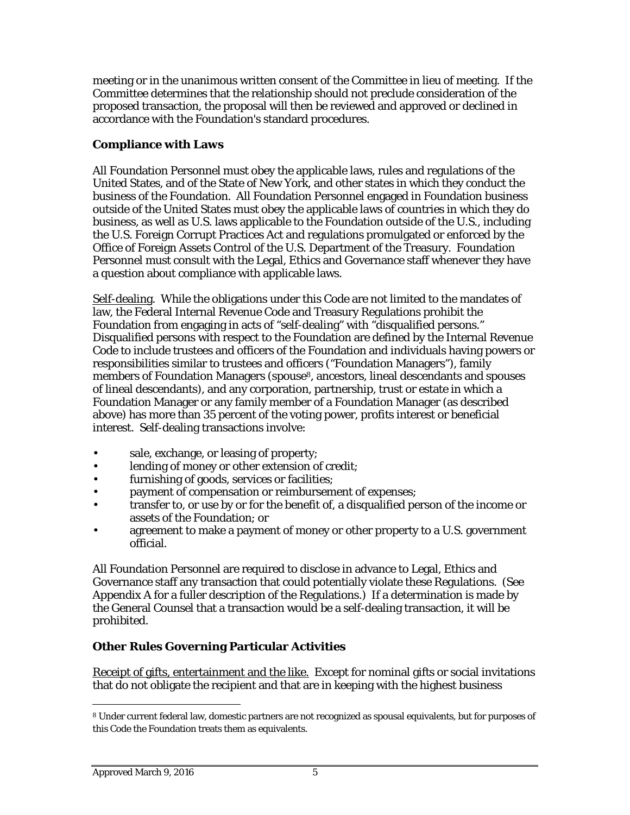meeting or in the unanimous written consent of the Committee in lieu of meeting. If the Committee determines that the relationship should not preclude consideration of the proposed transaction, the proposal will then be reviewed and approved or declined in accordance with the Foundation's standard procedures.

## **Compliance with Laws**

All Foundation Personnel must obey the applicable laws, rules and regulations of the United States, and of the State of New York, and other states in which they conduct the business of the Foundation. All Foundation Personnel engaged in Foundation business outside of the United States must obey the applicable laws of countries in which they do business, as well as U.S. laws applicable to the Foundation outside of the U.S., including the U.S. Foreign Corrupt Practices Act and regulations promulgated or enforced by the Office of Foreign Assets Control of the U.S. Department of the Treasury. Foundation Personnel must consult with the Legal, Ethics and Governance staff whenever they have a question about compliance with applicable laws.

Self-dealing. While the obligations under this Code are not limited to the mandates of law, the Federal Internal Revenue Code and Treasury Regulations prohibit the Foundation from engaging in acts of "self-dealing" with "disqualified persons." Disqualified persons with respect to the Foundation are defined by the Internal Revenue Code to include trustees and officers of the Foundation and individuals having powers or responsibilities similar to trustees and officers ("Foundation Managers"), family members of Foundation Managers (spouse<sup>8</sup>, ancestors, lineal descendants and spouses of lineal descendants), and any corporation, partnership, trust or estate in which a Foundation Manager or any family member of a Foundation Manager (as described above) has more than 35 percent of the voting power, profits interest or beneficial interest. Self-dealing transactions involve:

- sale, exchange, or leasing of property;
- lending of money or other extension of credit;
- furnishing of goods, services or facilities;
- payment of compensation or reimbursement of expenses;
- transfer to, or use by or for the benefit of, a disqualified person of the income or assets of the Foundation; or
- agreement to make a payment of money or other property to a U.S. government official.

All Foundation Personnel are required to disclose in advance to Legal, Ethics and Governance staff any transaction that could potentially violate these Regulations. (See Appendix A for a fuller description of the Regulations.) If a determination is made by the General Counsel that a transaction would be a self-dealing transaction, it will be prohibited.

# **Other Rules Governing Particular Activities**

Receipt of gifts, entertainment and the like. Except for nominal gifts or social invitations that do not obligate the recipient and that are in keeping with the highest business

<sup>8</sup> Under current federal law, domestic partners are not recognized as spousal equivalents, but for purposes of this Code the Foundation treats them as equivalents.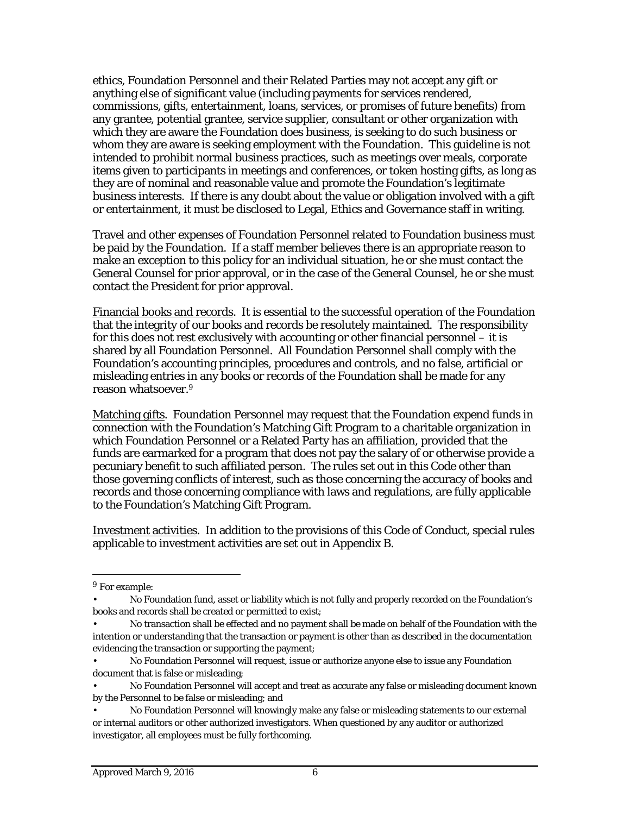ethics, Foundation Personnel and their Related Parties may not accept any gift or anything else of significant value (including payments for services rendered, commissions, gifts, entertainment, loans, services, or promises of future benefits) from any grantee, potential grantee, service supplier, consultant or other organization with which they are aware the Foundation does business, is seeking to do such business or whom they are aware is seeking employment with the Foundation. This guideline is not intended to prohibit normal business practices, such as meetings over meals, corporate items given to participants in meetings and conferences, or token hosting gifts, as long as they are of nominal and reasonable value and promote the Foundation's legitimate business interests. If there is any doubt about the value or obligation involved with a gift or entertainment, it must be disclosed to Legal, Ethics and Governance staff in writing.

Travel and other expenses of Foundation Personnel related to Foundation business must be paid by the Foundation. If a staff member believes there is an appropriate reason to make an exception to this policy for an individual situation, he or she must contact the General Counsel for prior approval, or in the case of the General Counsel, he or she must contact the President for prior approval.

Financial books and records. It is essential to the successful operation of the Foundation that the integrity of our books and records be resolutely maintained. The responsibility for this does not rest exclusively with accounting or other financial personnel – it is shared by all Foundation Personnel. All Foundation Personnel shall comply with the Foundation's accounting principles, procedures and controls, and no false, artificial or misleading entries in any books or records of the Foundation shall be made for any reason whatsoever.9

Matching gifts. Foundation Personnel may request that the Foundation expend funds in connection with the Foundation's Matching Gift Program to a charitable organization in which Foundation Personnel or a Related Party has an affiliation, provided that the funds are earmarked for a program that does not pay the salary of or otherwise provide a pecuniary benefit to such affiliated person. The rules set out in this Code other than those governing conflicts of interest, such as those concerning the accuracy of books and records and those concerning compliance with laws and regulations, are fully applicable to the Foundation's Matching Gift Program.

Investment activities. In addition to the provisions of this Code of Conduct, special rules applicable to investment activities are set out in Appendix B.

<sup>&</sup>lt;sup>9</sup> For example:

<sup>•</sup> No Foundation fund, asset or liability which is not fully and properly recorded on the Foundation's books and records shall be created or permitted to exist;

<sup>•</sup> No transaction shall be effected and no payment shall be made on behalf of the Foundation with the intention or understanding that the transaction or payment is other than as described in the documentation evidencing the transaction or supporting the payment;

<sup>•</sup> No Foundation Personnel will request, issue or authorize anyone else to issue any Foundation document that is false or misleading;

<sup>•</sup> No Foundation Personnel will accept and treat as accurate any false or misleading document known by the Personnel to be false or misleading; and

<sup>•</sup> No Foundation Personnel will knowingly make any false or misleading statements to our external or internal auditors or other authorized investigators. When questioned by any auditor or authorized investigator, all employees must be fully forthcoming.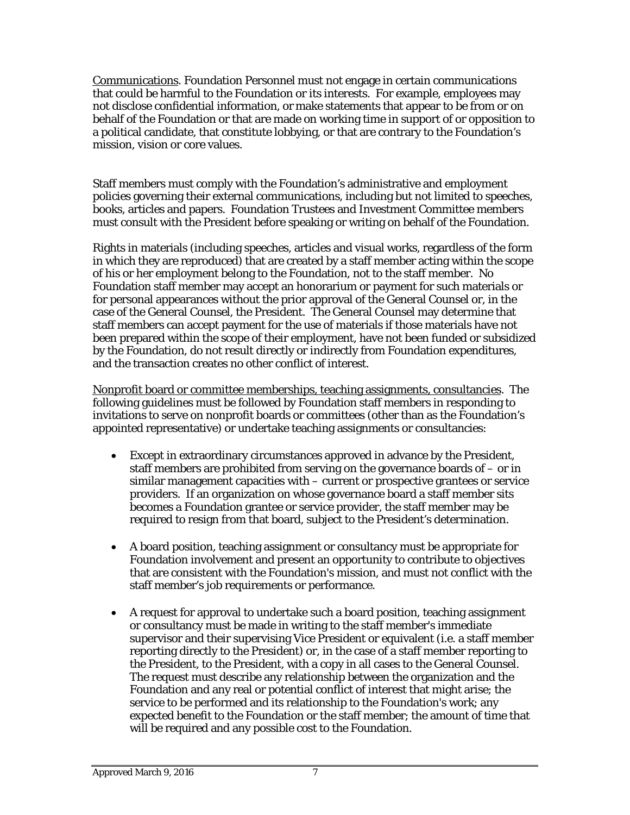Communications. Foundation Personnel must not engage in certain communications that could be harmful to the Foundation or its interests. For example, employees may not disclose confidential information, or make statements that appear to be from or on behalf of the Foundation or that are made on working time in support of or opposition to a political candidate, that constitute lobbying, or that are contrary to the Foundation's mission, vision or core values.

Staff members must comply with the Foundation's administrative and employment policies governing their external communications, including but not limited to speeches, books, articles and papers. Foundation Trustees and Investment Committee members must consult with the President before speaking or writing on behalf of the Foundation.

Rights in materials (including speeches, articles and visual works, regardless of the form in which they are reproduced) that are created by a staff member acting within the scope of his or her employment belong to the Foundation, not to the staff member. No Foundation staff member may accept an honorarium or payment for such materials or for personal appearances without the prior approval of the General Counsel or, in the case of the General Counsel, the President. The General Counsel may determine that staff members can accept payment for the use of materials if those materials have not been prepared within the scope of their employment, have not been funded or subsidized by the Foundation, do not result directly or indirectly from Foundation expenditures, and the transaction creates no other conflict of interest.

Nonprofit board or committee memberships, teaching assignments, consultancies. The following guidelines must be followed by Foundation staff members in responding to invitations to serve on nonprofit boards or committees (other than as the Foundation's appointed representative) or undertake teaching assignments or consultancies:

- Except in extraordinary circumstances approved in advance by the President, staff members are prohibited from serving on the governance boards of – or in similar management capacities with – current or prospective grantees or service providers. If an organization on whose governance board a staff member sits becomes a Foundation grantee or service provider, the staff member may be required to resign from that board, subject to the President's determination.
- A board position, teaching assignment or consultancy must be appropriate for Foundation involvement and present an opportunity to contribute to objectives that are consistent with the Foundation's mission, and must not conflict with the staff member's job requirements or performance.
- A request for approval to undertake such a board position, teaching assignment or consultancy must be made in writing to the staff member's immediate supervisor and their supervising Vice President or equivalent (i.e. a staff member reporting directly to the President) or, in the case of a staff member reporting to the President, to the President, with a copy in all cases to the General Counsel. The request must describe any relationship between the organization and the Foundation and any real or potential conflict of interest that might arise; the service to be performed and its relationship to the Foundation's work; any expected benefit to the Foundation or the staff member; the amount of time that will be required and any possible cost to the Foundation.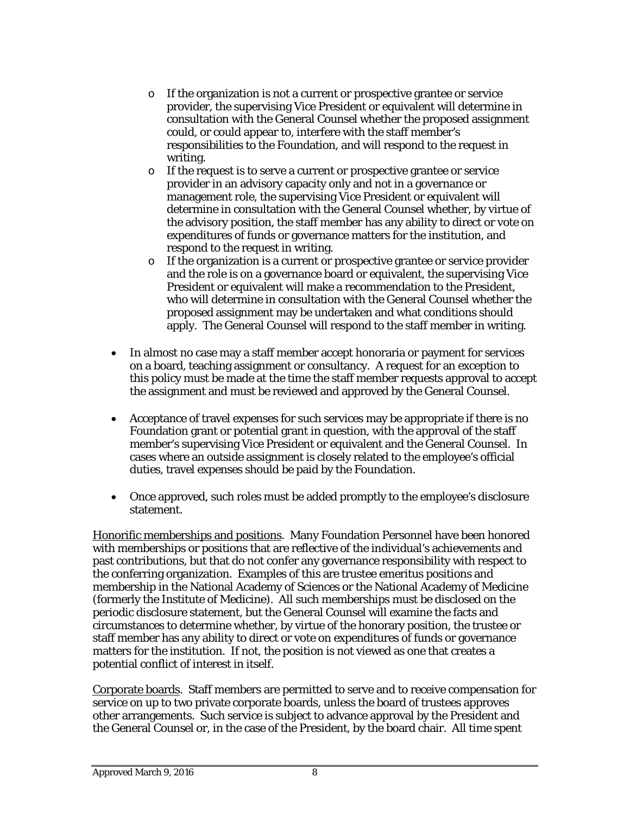- o If the organization is not a current or prospective grantee or service provider, the supervising Vice President or equivalent will determine in consultation with the General Counsel whether the proposed assignment could, or could appear to, interfere with the staff member's responsibilities to the Foundation, and will respond to the request in writing.
- o If the request is to serve a current or prospective grantee or service provider in an advisory capacity only and not in a governance or management role, the supervising Vice President or equivalent will determine in consultation with the General Counsel whether, by virtue of the advisory position, the staff member has any ability to direct or vote on expenditures of funds or governance matters for the institution, and respond to the request in writing.
- o If the organization is a current or prospective grantee or service provider and the role is on a governance board or equivalent, the supervising Vice President or equivalent will make a recommendation to the President, who will determine in consultation with the General Counsel whether the proposed assignment may be undertaken and what conditions should apply. The General Counsel will respond to the staff member in writing.
- In almost no case may a staff member accept honoraria or payment for services on a board, teaching assignment or consultancy. A request for an exception to this policy must be made at the time the staff member requests approval to accept the assignment and must be reviewed and approved by the General Counsel.
- Acceptance of travel expenses for such services may be appropriate if there is no Foundation grant or potential grant in question, with the approval of the staff member's supervising Vice President or equivalent and the General Counsel. In cases where an outside assignment is closely related to the employee's official duties, travel expenses should be paid by the Foundation.
- Once approved, such roles must be added promptly to the employee's disclosure statement.

Honorific memberships and positions. Many Foundation Personnel have been honored with memberships or positions that are reflective of the individual's achievements and past contributions, but that do not confer any governance responsibility with respect to the conferring organization. Examples of this are trustee emeritus positions and membership in the National Academy of Sciences or the National Academy of Medicine (formerly the Institute of Medicine). All such memberships must be disclosed on the periodic disclosure statement, but the General Counsel will examine the facts and circumstances to determine whether, by virtue of the honorary position, the trustee or staff member has any ability to direct or vote on expenditures of funds or governance matters for the institution. If not, the position is not viewed as one that creates a potential conflict of interest in itself.

Corporate boards. Staff members are permitted to serve and to receive compensation for service on up to two private corporate boards, unless the board of trustees approves other arrangements. Such service is subject to advance approval by the President and the General Counsel or, in the case of the President, by the board chair. All time spent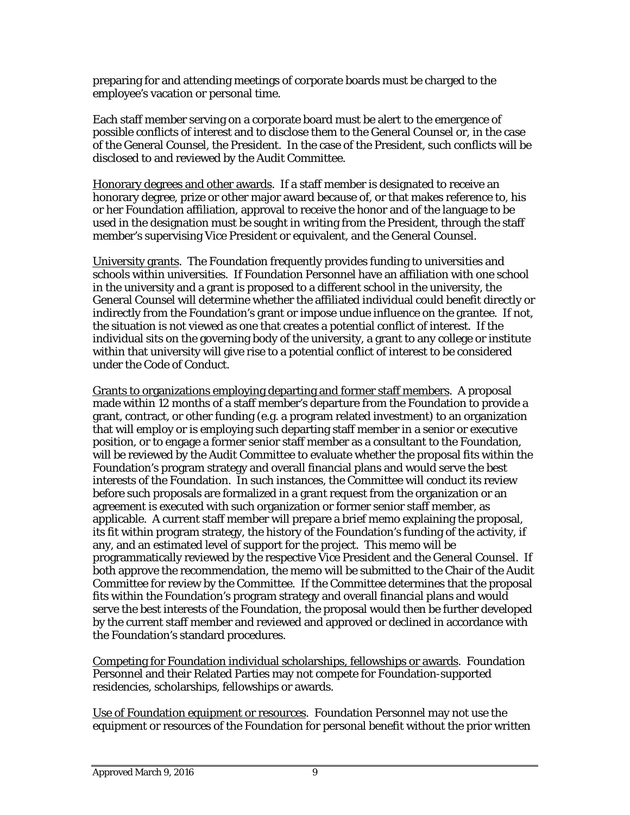preparing for and attending meetings of corporate boards must be charged to the employee's vacation or personal time.

Each staff member serving on a corporate board must be alert to the emergence of possible conflicts of interest and to disclose them to the General Counsel or, in the case of the General Counsel, the President. In the case of the President, such conflicts will be disclosed to and reviewed by the Audit Committee.

Honorary degrees and other awards. If a staff member is designated to receive an honorary degree, prize or other major award because of, or that makes reference to, his or her Foundation affiliation, approval to receive the honor and of the language to be used in the designation must be sought in writing from the President, through the staff member's supervising Vice President or equivalent, and the General Counsel.

University grants. The Foundation frequently provides funding to universities and schools within universities. If Foundation Personnel have an affiliation with one school in the university and a grant is proposed to a different school in the university, the General Counsel will determine whether the affiliated individual could benefit directly or indirectly from the Foundation's grant or impose undue influence on the grantee. If not, the situation is not viewed as one that creates a potential conflict of interest. If the individual sits on the governing body of the university, a grant to any college or institute within that university will give rise to a potential conflict of interest to be considered under the Code of Conduct.

Grants to organizations employing departing and former staff members. A proposal made within 12 months of a staff member's departure from the Foundation to provide a grant, contract, or other funding (e.g. a program related investment) to an organization that will employ or is employing such departing staff member in a senior or executive position, or to engage a former senior staff member as a consultant to the Foundation, will be reviewed by the Audit Committee to evaluate whether the proposal fits within the Foundation's program strategy and overall financial plans and would serve the best interests of the Foundation. In such instances, the Committee will conduct its review before such proposals are formalized in a grant request from the organization or an agreement is executed with such organization or former senior staff member, as applicable. A current staff member will prepare a brief memo explaining the proposal, its fit within program strategy, the history of the Foundation's funding of the activity, if any, and an estimated level of support for the project. This memo will be programmatically reviewed by the respective Vice President and the General Counsel. If both approve the recommendation, the memo will be submitted to the Chair of the Audit Committee for review by the Committee. If the Committee determines that the proposal fits within the Foundation's program strategy and overall financial plans and would serve the best interests of the Foundation, the proposal would then be further developed by the current staff member and reviewed and approved or declined in accordance with the Foundation's standard procedures.

Competing for Foundation individual scholarships, fellowships or awards. Foundation Personnel and their Related Parties may not compete for Foundation-supported residencies, scholarships, fellowships or awards.

Use of Foundation equipment or resources. Foundation Personnel may not use the equipment or resources of the Foundation for personal benefit without the prior written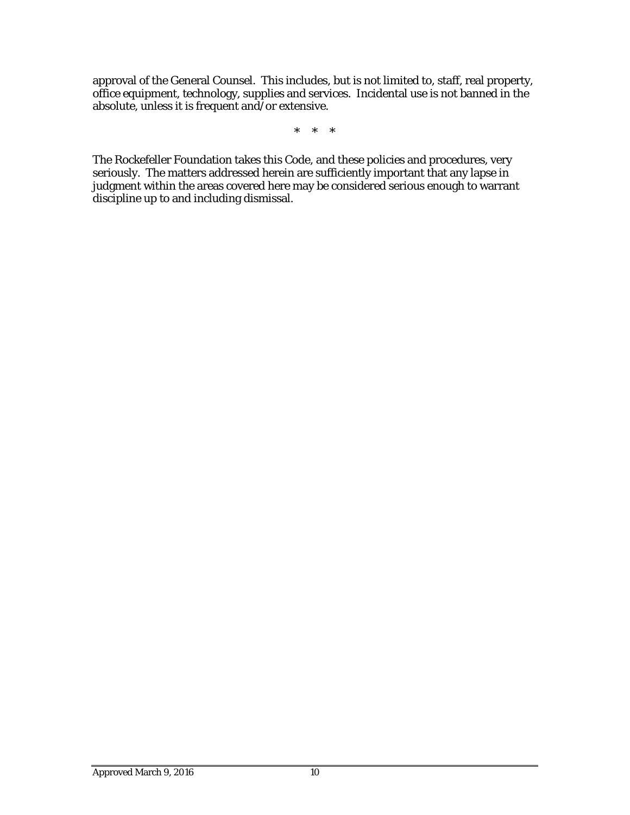approval of the General Counsel. This includes, but is not limited to, staff, real property, office equipment, technology, supplies and services. Incidental use is not banned in the absolute, unless it is frequent and/or extensive.

\* \* \*

The Rockefeller Foundation takes this Code, and these policies and procedures, very seriously. The matters addressed herein are sufficiently important that any lapse in judgment within the areas covered here may be considered serious enough to warrant discipline up to and including dismissal.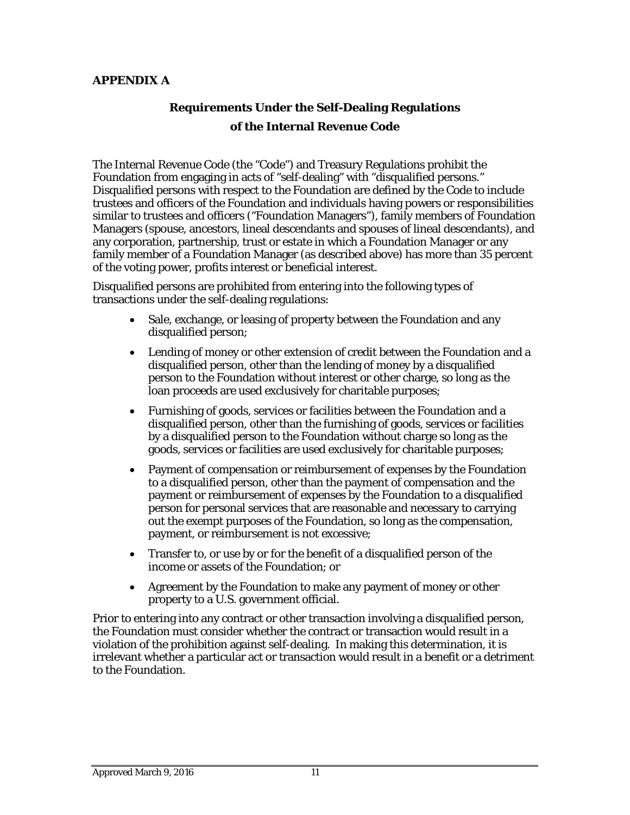### **APPENDIX A**

# **Requirements Under the Self-Dealing Regulations of the Internal Revenue Code**

The Internal Revenue Code (the "Code") and Treasury Regulations prohibit the Foundation from engaging in acts of "self-dealing" with "disqualified persons." Disqualified persons with respect to the Foundation are defined by the Code to include trustees and officers of the Foundation and individuals having powers or responsibilities similar to trustees and officers ("Foundation Managers"), family members of Foundation Managers (spouse, ancestors, lineal descendants and spouses of lineal descendants), and any corporation, partnership, trust or estate in which a Foundation Manager or any family member of a Foundation Manager (as described above) has more than 35 percent of the voting power, profits interest or beneficial interest.

Disqualified persons are prohibited from entering into the following types of transactions under the self-dealing regulations:

- Sale, exchange, or leasing of property between the Foundation and any disqualified person;
- Lending of money or other extension of credit between the Foundation and a disqualified person, other than the lending of money by a disqualified person to the Foundation without interest or other charge, so long as the loan proceeds are used exclusively for charitable purposes;
- Furnishing of goods, services or facilities between the Foundation and a disqualified person, other than the furnishing of goods, services or facilities by a disqualified person to the Foundation without charge so long as the goods, services or facilities are used exclusively for charitable purposes;
- Payment of compensation or reimbursement of expenses by the Foundation to a disqualified person, other than the payment of compensation and the payment or reimbursement of expenses by the Foundation to a disqualified person for personal services that are reasonable and necessary to carrying out the exempt purposes of the Foundation, so long as the compensation, payment, or reimbursement is not excessive;
- Transfer to, or use by or for the benefit of a disqualified person of the income or assets of the Foundation; or
- Agreement by the Foundation to make any payment of money or other property to a U.S. government official.

Prior to entering into any contract or other transaction involving a disqualified person, the Foundation must consider whether the contract or transaction would result in a violation of the prohibition against self-dealing. In making this determination, it is irrelevant whether a particular act or transaction would result in a benefit or a detriment to the Foundation.